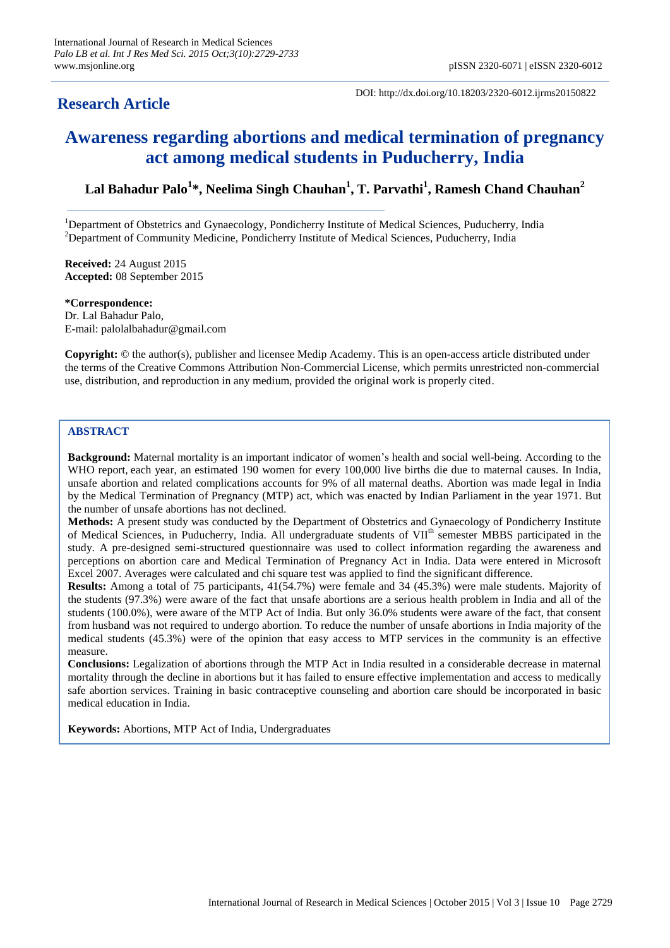# **Research Article**

DOI: http://dx.doi.org/10.18203/2320-6012.ijrms20150822

# **Awareness regarding abortions and medical termination of pregnancy act among medical students in Puducherry, India**

## **Lal Bahadur Palo<sup>1</sup> \*, Neelima Singh Chauhan<sup>1</sup> , T. Parvathi<sup>1</sup> , Ramesh Chand Chauhan<sup>2</sup>**

<sup>1</sup>Department of Obstetrics and Gynaecology, Pondicherry Institute of Medical Sciences, Puducherry, India <sup>2</sup>Department of Community Medicine, Pondicherry Institute of Medical Sciences, Puducherry, India

**Received:** 24 August 2015 **Accepted:** 08 September 2015

**\*Correspondence:** Dr. Lal Bahadur Palo, E-mail: palolalbahadur@gmail.com

**Copyright:** © the author(s), publisher and licensee Medip Academy. This is an open-access article distributed under the terms of the Creative Commons Attribution Non-Commercial License, which permits unrestricted non-commercial use, distribution, and reproduction in any medium, provided the original work is properly cited.

#### **ABSTRACT**

**Background:** Maternal mortality is an important indicator of women's health and social well-being. According to the WHO report, each year, an estimated 190 women for every 100,000 live births die due to maternal causes. In India, unsafe abortion and related complications accounts for 9% of all maternal deaths. Abortion was made legal in India by the Medical Termination of Pregnancy (MTP) act, which was enacted by Indian Parliament in the year 1971. But the number of unsafe abortions has not declined.

**Methods:** A present study was conducted by the Department of Obstetrics and Gynaecology of Pondicherry Institute of Medical Sciences, in Puducherry, India. All undergraduate students of VII<sup>th</sup> semester MBBS participated in the study. A pre-designed semi-structured questionnaire was used to collect information regarding the awareness and perceptions on abortion care and Medical Termination of Pregnancy Act in India. Data were entered in Microsoft Excel 2007. Averages were calculated and chi square test was applied to find the significant difference.

**Results:** Among a total of 75 participants, 41(54.7%) were female and 34 (45.3%) were male students. Majority of the students (97.3%) were aware of the fact that unsafe abortions are a serious health problem in India and all of the students (100.0%), were aware of the MTP Act of India. But only 36.0% students were aware of the fact, that consent from husband was not required to undergo abortion. To reduce the number of unsafe abortions in India majority of the medical students (45.3%) were of the opinion that easy access to MTP services in the community is an effective measure.

**Conclusions:** Legalization of abortions through the MTP Act in India resulted in a considerable decrease in maternal mortality through the decline in abortions but it has failed to ensure effective implementation and access to medically safe abortion services. Training in basic contraceptive counseling and abortion care should be incorporated in basic medical education in India.

**Keywords:** Abortions, MTP Act of India, Undergraduates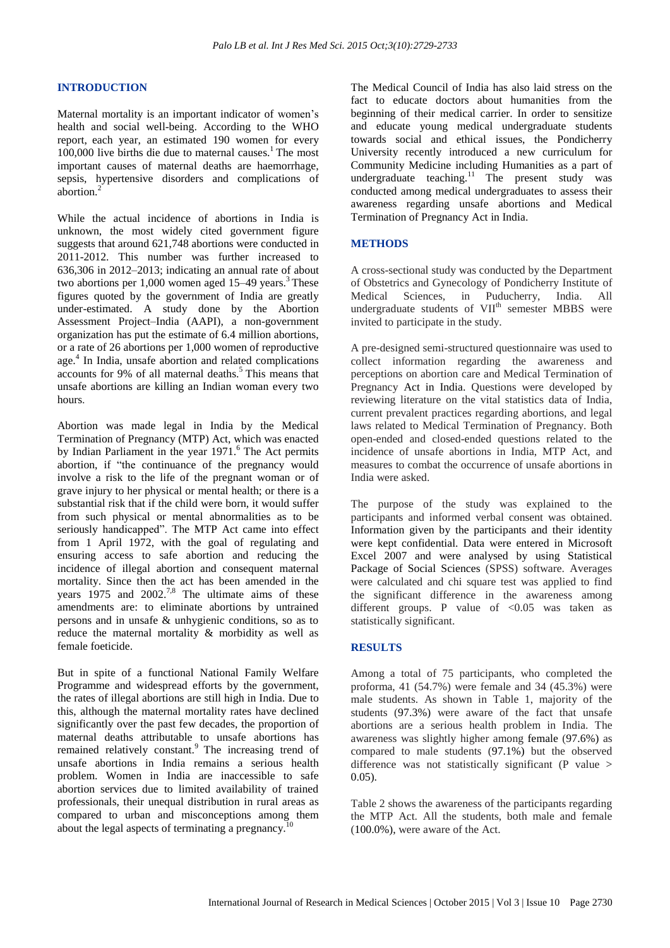#### **INTRODUCTION**

Maternal mortality is an important indicator of women's health and social well-being. According to the WHO report, each year, an estimated 190 women for every  $100,000$  live births die due to maternal causes.<sup>1</sup> The most important causes of maternal deaths are haemorrhage, sepsis, hypertensive disorders and complications of abortion.<sup>2</sup>

While the actual incidence of abortions in India is unknown, the most widely cited government figure suggests that around 621,748 abortions were conducted in 2011-2012. This number was further increased to 636,306 in 2012–2013; indicating an annual rate of about two abortions per  $1,000$  women aged  $15-49$  years.<sup>3</sup> These figures quoted by the government of India are greatly under-estimated. A study done by the Abortion Assessment Project–India (AAPI), a non-government organization has put the estimate of 6.4 million abortions, or a rate of 26 abortions per 1,000 women of reproductive age.<sup>4</sup> In India, unsafe abortion and related complications accounts for 9% of all maternal deaths.<sup>5</sup> This means that unsafe abortions are killing an Indian woman every two hours.

Abortion was made legal in India by the Medical Termination of Pregnancy (MTP) Act, which was enacted by Indian Parliament in the year 1971.<sup>6</sup> The Act permits abortion, if "the continuance of the pregnancy would involve a risk to the life of the pregnant woman or of grave injury to her physical or mental health; or there is a substantial risk that if the child were born, it would suffer from such physical or mental abnormalities as to be seriously handicapped". The MTP Act came into effect from 1 April 1972, with the goal of regulating and ensuring access to safe abortion and reducing the incidence of illegal abortion and consequent maternal mortality. Since then the act has been amended in the years  $1975$  and  $2002<sup>7,8</sup>$ . The ultimate aims of these amendments are: to eliminate abortions by untrained persons and in unsafe & unhygienic conditions, so as to reduce the maternal mortality & morbidity as well as female foeticide.

But in spite of a functional National Family Welfare Programme and widespread efforts by the government, the rates of illegal abortions are still high in India. Due to this, although the maternal mortality rates have declined significantly over the past few decades, the proportion of maternal deaths attributable to unsafe abortions has remained relatively constant.<sup>9</sup> The increasing trend of unsafe abortions in India remains a serious health problem. Women in India are inaccessible to safe abortion services due to limited availability of trained professionals, their unequal distribution in rural areas as compared to urban and misconceptions among them about the legal aspects of terminating a pregnancy.<sup>1</sup>

The Medical Council of India has also laid stress on the fact to educate doctors about humanities from the beginning of their medical carrier. In order to sensitize and educate young medical undergraduate students towards social and ethical issues, the Pondicherry University recently introduced a new curriculum for Community Medicine including Humanities as a part of undergraduate teaching.<sup>11</sup> The present study was conducted among medical undergraduates to assess their awareness regarding unsafe abortions and Medical Termination of Pregnancy Act in India.

#### **METHODS**

A cross-sectional study was conducted by the Department of Obstetrics and Gynecology of Pondicherry Institute of Medical Sciences, in Puducherry, India. All undergraduate students of VII<sup>th</sup> semester MBBS were invited to participate in the study.

A pre-designed semi-structured questionnaire was used to collect information regarding the awareness and perceptions on abortion care and Medical Termination of Pregnancy Act in India. Questions were developed by reviewing literature on the vital statistics data of India, current prevalent practices regarding abortions, and legal laws related to Medical Termination of Pregnancy. Both open-ended and closed-ended questions related to the incidence of unsafe abortions in India, MTP Act, and measures to combat the occurrence of unsafe abortions in India were asked.

The purpose of the study was explained to the participants and informed verbal consent was obtained. Information given by the participants and their identity were kept confidential. Data were entered in Microsoft Excel 2007 and were analysed by using Statistical Package of Social Sciences (SPSS) software. Averages were calculated and chi square test was applied to find the significant difference in the awareness among different groups. P value of  $< 0.05$  was taken as statistically significant.

#### **RESULTS**

Among a total of 75 participants, who completed the proforma, 41 (54.7%) were female and 34 (45.3%) were male students. As shown in Table 1, majority of the students (97.3%) were aware of the fact that unsafe abortions are a serious health problem in India. The awareness was slightly higher among female (97.6%) as compared to male students (97.1%) but the observed difference was not statistically significant (P value > 0.05).

Table 2 shows the awareness of the participants regarding the MTP Act. All the students, both male and female (100.0%), were aware of the Act.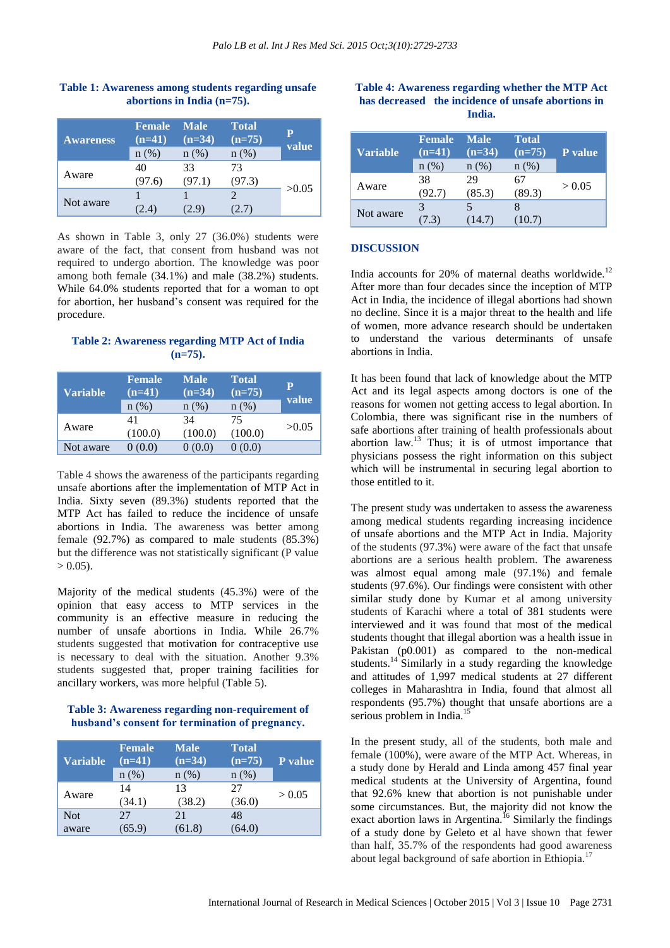| <b>Awareness</b> | <b>Female</b><br>$(n=41)$<br>$n(\%)$ | <b>Male</b><br>$(n=34)$<br>$n(\%)$ | <b>Total</b><br>$(n=75)$<br>$n$ (%) | P<br>value |
|------------------|--------------------------------------|------------------------------------|-------------------------------------|------------|
| Aware            | 40<br>(97.6)                         | 33<br>(97.1)                       | 73<br>(97.3)                        | >0.05      |
| Not aware        | 2.4)                                 |                                    | 2.7)                                |            |

## **Table 1: Awareness among students regarding unsafe abortions in India (n=75).**

As shown in Table 3, only 27 (36.0%) students were aware of the fact, that consent from husband was not required to undergo abortion. The knowledge was poor among both female (34.1%) and male (38.2%) students. While 64.0% students reported that for a woman to opt for abortion, her husband's consent was required for the procedure.

### **Table 2: Awareness regarding MTP Act of India (n=75).**

| <b>Variable</b> | <b>Female</b><br>$(n=41)$<br>n(%) | <b>Male</b><br>$(n=34)$<br>n(%) | <b>Total</b><br>$(n=75)$<br>$n$ (%) | P<br>value |
|-----------------|-----------------------------------|---------------------------------|-------------------------------------|------------|
| Aware           | 41<br>(100.0)                     | 34<br>(100.0)                   | 75<br>(100.0)                       | >0.05      |
| Not aware       | (0.0)                             | 0(0.0)                          | 0(0.0)                              |            |

Table 4 shows the awareness of the participants regarding unsafe abortions after the implementation of MTP Act in India. Sixty seven (89.3%) students reported that the MTP Act has failed to reduce the incidence of unsafe abortions in India. The awareness was better among female (92.7%) as compared to male students (85.3%) but the difference was not statistically significant (P value  $> 0.05$ ).

Majority of the medical students (45.3%) were of the opinion that easy access to MTP services in the community is an effective measure in reducing the number of unsafe abortions in India. While 26.7% students suggested that motivation for contraceptive use is necessary to deal with the situation. Another 9.3% students suggested that, proper training facilities for ancillary workers, was more helpful (Table 5).

#### **Table 3: Awareness regarding non-requirement of husband's consent for termination of pregnancy.**

| <b>Variable</b>     | <b>Female</b><br>$(n=41)$<br>n(%) | <b>Male</b><br>$(n=34)$<br>n(%) | <b>Total</b><br>$(n=75)$<br>n (%) | <b>P</b> value |
|---------------------|-----------------------------------|---------------------------------|-----------------------------------|----------------|
| Aware               | 14<br>(34.1)                      | 13<br>(38.2)                    | 27<br>(36.0)                      | > 0.05         |
| <b>Not</b><br>aware | 27<br>(65.9)                      | 2.1<br>(61.8)                   | 48<br>(64.0)                      |                |

#### **Table 4: Awareness regarding whether the MTP Act has decreased the incidence of unsafe abortions in India.**

| <b>Variable</b> | <b>Female</b><br>$(n=41)$ | <b>Male</b><br>$(n=34)$ | <b>Total</b><br>$(n=75)$ | P value |  |
|-----------------|---------------------------|-------------------------|--------------------------|---------|--|
|                 | $n(\%)$                   | n(%)                    | $n$ (%)                  |         |  |
| Aware           | 38                        | 29                      |                          |         |  |
|                 | (92.7)                    | (85.3)                  | (89.3)                   | > 0.05  |  |
| Not aware       | 3                         |                         |                          |         |  |
|                 | (7.3)                     | (14.7)                  | (10.7)                   |         |  |

#### **DISCUSSION**

India accounts for 20% of maternal deaths worldwide.<sup>12</sup> After more than four decades since the inception of MTP Act in India, the incidence of illegal abortions had shown no decline. Since it is a major threat to the health and life of women, more advance research should be undertaken to understand the various determinants of unsafe abortions in India.

It has been found that lack of knowledge about the MTP Act and its legal aspects among doctors is one of the reasons for women not getting access to legal abortion. In Colombia, there was significant rise in the numbers of safe abortions after training of health professionals about abortion law.<sup>13</sup> Thus; it is of utmost importance that physicians possess the right information on this subject which will be instrumental in securing legal abortion to those entitled to it.

The present study was undertaken to assess the awareness among medical students regarding increasing incidence of unsafe abortions and the MTP Act in India. Majority of the students (97.3%) were aware of the fact that unsafe abortions are a serious health problem. The awareness was almost equal among male (97.1%) and female students (97.6%). Our findings were consistent with other similar study done by Kumar et al among university students of Karachi where a total of 381 students were interviewed and it was found that most of the medical students thought that illegal abortion was a health issue in Pakistan (p0.001) as compared to the non-medical students.<sup>14</sup> Similarly in a study regarding the knowledge and attitudes of 1,997 medical students at 27 different colleges in Maharashtra in India, found that almost all respondents (95.7%) thought that unsafe abortions are a serious problem in India.<sup>15</sup>

In the present study, all of the students, both male and female (100%), were aware of the MTP Act. Whereas, in a study done by Herald and Linda among 457 final year medical students at the University of Argentina, found that 92.6% knew that abortion is not punishable under some circumstances. But, the majority did not know the exact abortion laws in Argentina.<sup>16</sup> Similarly the findings of a study done by Geleto et al have shown that fewer than half, 35.7% of the respondents had good awareness about legal background of safe abortion in Ethiopia.<sup>17</sup>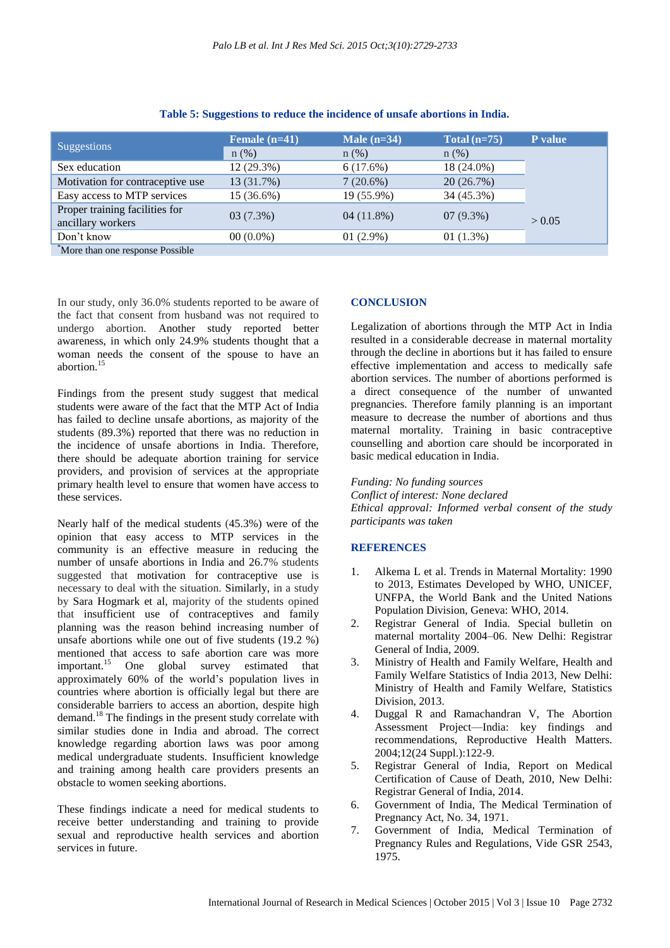| <b>Suggestions</b>                                  | Female $(n=41)$ | Male $(n=34)$ | Total $(n=75)$ | P value |
|-----------------------------------------------------|-----------------|---------------|----------------|---------|
|                                                     | $n(\%)$         | $n$ (%)       | $n$ (%)        |         |
| Sex education                                       | 12 (29.3%)      | 6(17.6%)      | 18 (24.0%)     |         |
| Motivation for contraceptive use                    | 13 (31.7%)      | 7(20.6%)      | 20(26.7%)      |         |
| Easy access to MTP services                         | 15 (36.6%)      | 19 (55.9%)    | 34 (45.3%)     |         |
| Proper training facilities for<br>ancillary workers | 03(7.3%)        | 04(11.8%)     | $07(9.3\%)$    | > 0.05  |
| Don't know                                          | $00(0.0\%)$     | $01(2.9\%)$   | 01(1.3%)       |         |
| More than one response Possible                     |                 |               |                |         |

#### **Table 5: Suggestions to reduce the incidence of unsafe abortions in India.**

In our study, only 36.0% students reported to be aware of the fact that consent from husband was not required to undergo abortion. Another study reported better awareness, in which only 24.9% students thought that a woman needs the consent of the spouse to have an abortion.<sup>15</sup>

Findings from the present study suggest that medical students were aware of the fact that the MTP Act of India has failed to decline unsafe abortions, as majority of the students (89.3%) reported that there was no reduction in the incidence of unsafe abortions in India. Therefore, there should be adequate abortion training for service providers, and provision of services at the appropriate primary health level to ensure that women have access to these services.

Nearly half of the medical students (45.3%) were of the opinion that easy access to MTP services in the community is an effective measure in reducing the number of unsafe abortions in India and 26.7% students suggested that motivation for contraceptive use is necessary to deal with the situation. Similarly, in a study by Sara Hogmark et al, majority of the students opined that insufficient use of contraceptives and family planning was the reason behind increasing number of unsafe abortions while one out of five students (19.2 %) mentioned that access to safe abortion care was more<br>important.<sup>15</sup> One global survey estimated that One global survey estimated that approximately 60% of the world's population lives in countries where abortion is officially legal but there are considerable barriers to access an abortion, despite high demand.<sup>18</sup> The findings in the present study correlate with similar studies done in India and abroad. The correct knowledge regarding abortion laws was poor among medical undergraduate students. Insufficient knowledge and training among health care providers presents an obstacle to women seeking abortions.

These findings indicate a need for medical students to receive better understanding and training to provide sexual and reproductive health services and abortion services in future.

#### **CONCLUSION**

Legalization of abortions through the MTP Act in India resulted in a considerable decrease in maternal mortality through the decline in abortions but it has failed to ensure effective implementation and access to medically safe abortion services. The number of abortions performed is a direct consequence of the number of unwanted pregnancies. Therefore family planning is an important measure to decrease the number of abortions and thus maternal mortality. Training in basic contraceptive counselling and abortion care should be incorporated in basic medical education in India.

*Funding: No funding sources*

*Conflict of interest: None declared Ethical approval: Informed verbal consent of the study participants was taken*

#### **REFERENCES**

- 1. Alkema L et al. Trends in Maternal Mortality: 1990 to 2013, Estimates Developed by WHO, UNICEF, UNFPA, the World Bank and the United Nations Population Division, Geneva: WHO, 2014.
- 2. Registrar General of India. Special bulletin on maternal mortality 2004–06. New Delhi: Registrar General of India, 2009.
- 3. Ministry of Health and Family Welfare, Health and Family Welfare Statistics of India 2013, New Delhi: Ministry of Health and Family Welfare, Statistics Division, 2013.
- 4. Duggal R and Ramachandran V, The Abortion Assessment Project—India: key findings and recommendations, Reproductive Health Matters. 2004;12(24 Suppl.):122-9.
- 5. Registrar General of India, Report on Medical Certification of Cause of Death, 2010, New Delhi: Registrar General of India, 2014.
- 6. Government of India, The Medical Termination of Pregnancy Act, No. 34, 1971.
- 7. Government of India, Medical Termination of Pregnancy Rules and Regulations, Vide GSR 2543, 1975.